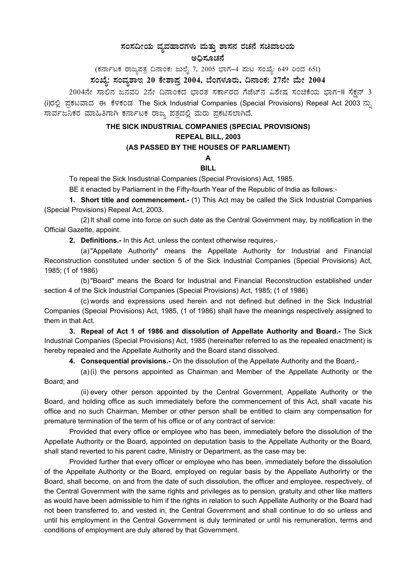## ಸಂಸದೀಯ ವ್ಯವಹಾರಗಳು ಮತ್ತು ಶಾಸನ ರಚನೆ ಸಚಿವಾಲಯ

#### ಅಧಿಸೂಚನೆ

# (ಕರ್ನಾಟಕ ರಾಜ್ಯಪತ್ರ ದಿನಾಂಕ: ಜುಲೈ 7, 2005 ಭಾಗ–4 ಮಟ ಸಂಖ್ಯೆ: 649 ರಿಂದ 651)<br>ಸಂಖ್ಯೆ: ಸಂವ್ಯಶಾಇ 20 ಕೇಶಾಪ್ರ 2004, ಬೆಂಗಳೂರು, ದಿನಾಂಕ: 27ನೇ ಮೇ 2004

2004ನೇ ಸಾಲಿನ ಜನವರಿ 2ನೇ ದಿನಾಂಕದ ಭಾರತ ಸರ್ಕಾರದ ಗೆಜೆಟ್ ವಿಶೇಷ ಸಂಚಿಕೆಯ ಭಾಗ-II ಸೆಕ್ಷನ್ 3 (i)ರಲ್ಲಿ ಪ್ರಕಟವಾದ ಈ ಕೆಳಕಂಡ The Sick Industrial Companies (Special Provisions) Repeal Act 2003 ನ್ನು ಸಾರ್ವಜನಿಕರ ಮಾಹಿತಿಗಾಗಿ ಕರ್ನಾಟಕ ರಾಜ್ಯ ಪತ್ರದಲ್ಲಿ ಮರು ಪ್ರಕಟಿಸಲಾಗಿದೆ.

#### THE SICK INDUSTRIAL COMPANIES (SPECIAL PROVISIONS)

#### REPEAL BILL, 2003

### (AS PASSED BY THE HOUSES OF PARLIAMENT)

#### $\Delta$ **BILL**

To repeal the Sick Insdustrial Companies (Special Provisions) Act, 1985.

BE it enacted by Parliament in the Fifty-fourth Year of the Republic of India as follows:-

1. Short title and commencement.- (1) This Act may be called the Sick Industrial Companies (Special Provisions) Repeal Act, 2003.

(2) It shall come into force on such date as the Central Government may, by notification in the Official Gazette, appoint.

2. Definitions.- In this Act, unless the context otherwise requires,-

(a) "Appellate Authority" means the Appellate Authority for Industrial and Financial Reconstruction constituted under section 5 of the Sick Industrial Companies (Special Provisions) Act, 1985; (1 of 1986)

(b) "Board" means the Board for Industrial and Financial Reconstruction established under section 4 of the Sick Industrial Companies (Special Provisions) Act, 1985; (1 of 1986)

(c) words and expressions used herein and not defined but defined in the Sick Industrial Companies (Special Provisions) Act, 1985, (1 of 1986) shall have the meanings respectively assigned to them in that Act.

3. Repeal of Act 1 of 1986 and dissolution of Appellate Authority and Board.- The Sick Industrial Companies (Special Provisions) Act, 1985 (hereinafter referred to as the repealed enactment) is hereby repealed and the Appellate Authority and the Board stand dissolved.

4. Consequential provisions.- On the dissolution of the Appellate Authority and the Board,-

 $(a)(i)$  the persons appointed as Chairman and Member of the Appellate Authority or the Board: and

(ii) every other person appointed by the Central Government, Appellate Authority or the Board, and holding office as such immediately before the commencement of this Act, shall vacate his office and no such Chairman, Member or other person shall be entitled to claim any compensation for premature termination of the term of his office or of any contract of service:

Provided that every office or employee who has been, immediately before the dissolution of the Appellate Authority or the Board, appointed on deputation basis to the Appellate Authority or the Board, shall stand reverted to his parent cadre, Ministry or Department, as the case may be:

Provided further that every officer or employee who has been, immediately before the dissolution of the Appellate Authority or the Board, employed on regular basis by the Appellate Authorirty or the Board, shall become, on and from the date of such dissolution, the officer and employee, respectively, of the Central Government with the same rights and privileges as to pension, gratuity and other like matters as would have been admissible to him if the rights in relation to such Appellate Authority or the Board had not been transferred to, and vested in, the Central Government and shall continue to do so unless and until his employment in the Central Government is duly terminated or until his remuneration, terms and conditions of employment are duly altered by that Government.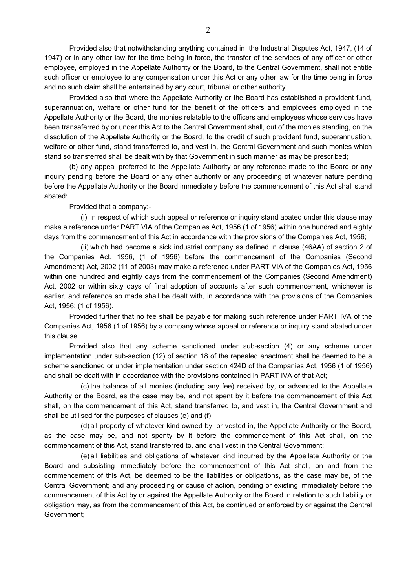Provided also that notwithstanding anything contained in the Industrial Disputes Act, 1947, (14 of 1947) or in any other law for the time being in force, the transfer of the services of any officer or other employee, employed in the Appellate Authority or the Board, to the Central Government, shall not entitle such officer or employee to any compensation under this Act or any other law for the time being in force and no such claim shall be entertained by any court, tribunal or other authority.

Provided also that where the Appellate Authority or the Board has established a provident fund, superannuation, welfare or other fund for the benefit of the officers and employees employed in the Appellate Authority or the Board, the monies relatable to the officers and employees whose services have been transaferred by or under this Act to the Central Government shall, out of the monies standing, on the dissolution of the Appellate Authority or the Board, to the credit of such provident fund, superannuation, welfare or other fund, stand transfferred to, and vest in, the Central Government and such monies which stand so transferred shall be dealt with by that Government in such manner as may be prescribed;

(b) any appeal preferred to the Appellate Authority or any reference made to the Board or any inquiry pending before the Board or any other authority or any proceeding of whatever nature pending before the Appellate Authority or the Board immediately before the commencement of this Act shall stand abated:

Provided that a company:-

(i) in respect of which such appeal or reference or inquiry stand abated under this clause may make a reference under PART VIA of the Companies Act, 1956 (1 of 1956) within one hundred and eighty days from the commencement of this Act in accordance with the provisions of the Companies Act, 1956;

(ii) which had become a sick industrial company as defined in clause (46AA) of section 2 of the Companies Act, 1956, (1 of 1956) before the commencement of the Companies (Second Amendment) Act, 2002 (11 of 2003) may make a reference under PART VIA of the Companies Act, 1956 within one hundred and eightly days from the commencement of the Companies (Second Amendment) Act, 2002 or within sixty days of final adoption of accounts after such commencement, whichever is earlier, and reference so made shall be dealt with, in accordance with the provisions of the Companies Act, 1956; (1 of 1956).

Provided further that no fee shall be payable for making such reference under PART IVA of the Companies Act, 1956 (1 of 1956) by a company whose appeal or reference or inquiry stand abated under this clause.

Provided also that any scheme sanctioned under sub-section (4) or any scheme under implementation under sub-section (12) of section 18 of the repealed enactment shall be deemed to be a scheme sanctioned or under implementation under section 424D of the Companies Act, 1956 (1 of 1956) and shall be dealt with in accordance with the provisions contained in PART IVA of that Act;

(c) the balance of all monies (including any fee) received by, or advanced to the Appellate Authority or the Board, as the case may be, and not spent by it before the commencement of this Act shall, on the commencement of this Act, stand transferred to, and vest in, the Central Government and shall be utilised for the purposes of clauses (e) and (f);

(d) all property of whatever kind owned by, or vested in, the Appellate Authority or the Board, as the case may be, and not spenty by it before the commencement of this Act shall, on the commencement of this Act, stand transferred to, and shall vest in the Central Government;

(e) all liabilities and obligations of whatever kind incurred by the Appellate Authority or the Board and subsisting immediately before the commencement of this Act shall, on and from the commencement of this Act, be deemed to be the liabilities or obligations, as the case may be, of the Central Government; and any proceeding or cause of action, pending or existing immediately before the commencement of this Act by or against the Appellate Authority or the Board in relation to such liability or obligation may, as from the commencement of this Act, be continued or enforced by or against the Central Government;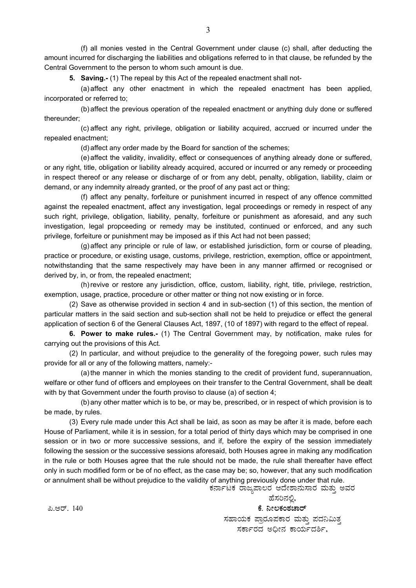(f) all monies vested in the Central Government under clause (c) shall, after deducting the amount incurred for discharging the liabilities and obligations referred to in that clause, be refunded by the Central Government to the person to whom such amount is due.

**5. Saving.-** (1) The repeal by this Act of the repealed enactment shall not-

(a) affect any other enactment in which the repealed enactment has been applied, incorporated or referred to;

(b) affect the previous operation of the repealed enactment or anything duly done or suffered thereunder;

(c) affect any right, privilege, obligation or liability acquired, accrued or incurred under the repealed enactment;

(d) affect any order made by the Board for sanction of the schemes;

(e) affect the validity, invalidity, effect or consequences of anything already done or suffered, or any right, title, obligation or liability already acquired, accured or incurred or any remedy or proceeding in respect thereof or any release or discharge of or from any debt, penalty, obligation, liability, claim or demand, or any indemnity already granted, or the proof of any past act or thing;

(f) affect any penalty, forfeiture or punishment incurred in respect of any offence committed against the repealed enactment, affect any investigation, legal proceedings or remedy in respect of any such right, privilege, obligation, liability, penalty, forfeiture or punishment as aforesaid, and any such investigation, legal propceeding or remedy may be instituted, continued or enforced, and any such privilege, forfeiture or punishment may be imposed as if this Act had not been passed;

(g) affect any principle or rule of law, or established jurisdiction, form or course of pleading, practice or procedure, or existing usage, customs, privilege, restriction, exemption, office or appointment, notwithstanding that the same respectively may have been in any manner affirmed or recognised or derived by, in, or from, the repealed enactment;

(h) revive or restore any jurisdiction, office, custom, liability, right, title, privilege, restriction, exemption, usage, practice, procedure or other matter or thing not now existing or in force.

(2) Save as otherwise provided in section 4 and in sub-section (1) of this section, the mention of particular matters in the said section and sub-section shall not be held to prejudice or effect the general application of section 6 of the General Clauses Act, 1897, (10 of 1897) with regard to the effect of repeal.

**6. Power to make rules.-** (1) The Central Government may, by notification, make rules for carrying out the provisions of this Act.

(2) In particular, and without prejudice to the generality of the foregoing power, such rules may provide for all or any of the following matters, namely:-

(a) the manner in which the monies standing to the credit of provident fund, superannuation, welfare or other fund of officers and employees on their transfer to the Central Government, shall be dealt with by that Government under the fourth proviso to clause (a) of section 4;

(b) any other matter which is to be, or may be, prescribed, or in respect of which provision is to be made, by rules.

(3) Every rule made under this Act shall be laid, as soon as may be after it is made, before each House of Parliament, while it is in session, for a total period of thirty days which may be comprised in one session or in two or more successive sessions, and if, before the expiry of the session immediately following the session or the successive sessions aforesaid, both Houses agree in making any modification in the rule or both Houses agree that the rule should not be made, the rule shall thereafter have effect only in such modified form or be of no effect, as the case may be; so, however, that any such modification or annulment shall be without prejudice to the validity of anything previously done under that rule.

ಕರ್ನಾಟಕ ರಾಜ್ಯಪಾಲರ ಆದೇಶಾನುಸಾರ ಮತ್ತು ಅವರ

ಹೆಸರಿನಲ್ಲಿ, ಕೆ. ನೀಲಕಂಠಚಾರ್ ಸಹಾಯಕ ಪ್ರಾರೂಪಕಾರ ಮತು ಪದನಿಮಿತ ಸರ್ಕಾರದ ಅದೀನ ಕಾರ್ಯದರ್ಶಿ.

ಪಿ.ಆರ್. 140